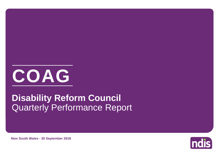

# Quarterly Performance Report **Disability Reform Council**

**New South Wales - 30 September 2018**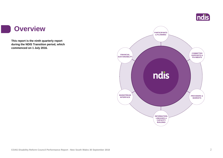

#### **Overview**

a s

**This report is the ninth quarterly report during the NDIS Transition period, which commenced on 1 July 2016.**

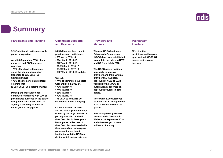

### **Summary**

| <b>Participants and Planning</b>                                                                                                                                                                                                                                                                                                                                                                                                                                                                                                                                            | <b>Committed Supports</b><br>and Payments                                                                                                                                                                                                                                                                                                                                                                                                                                                                                                                                                                                                                                                                                                                                                                                                               | <b>Providers and</b><br><b>Markets</b>                                                                                                                                                                                                                                                                                                                                                                                                                                                                                                                                                                                                            | <b>Mainstream</b><br><b>Interface</b>                                                                 |
|-----------------------------------------------------------------------------------------------------------------------------------------------------------------------------------------------------------------------------------------------------------------------------------------------------------------------------------------------------------------------------------------------------------------------------------------------------------------------------------------------------------------------------------------------------------------------------|---------------------------------------------------------------------------------------------------------------------------------------------------------------------------------------------------------------------------------------------------------------------------------------------------------------------------------------------------------------------------------------------------------------------------------------------------------------------------------------------------------------------------------------------------------------------------------------------------------------------------------------------------------------------------------------------------------------------------------------------------------------------------------------------------------------------------------------------------------|---------------------------------------------------------------------------------------------------------------------------------------------------------------------------------------------------------------------------------------------------------------------------------------------------------------------------------------------------------------------------------------------------------------------------------------------------------------------------------------------------------------------------------------------------------------------------------------------------------------------------------------------------|-------------------------------------------------------------------------------------------------------|
| 5,132 additional participants with<br>plans this quarter.<br>As at 30 September 2018, plans<br>approved and ECEI referrals<br>represent:<br>• 75% of bilateral estimate met<br>since the commencement of<br>transition (1 July 2016 - 30<br>September 2018)<br>• 75% of scheme to date bilateral<br>estimate met<br>(1 July 2013 - 30 September 2018)<br><b>Participant satisfaction has</b><br>continued to improve with 92% of<br>participants surveyed in the quarter<br>rating their satisfaction with the<br>Agency's planning process as<br>either good or very good. | \$5.5 billion has been paid to<br>providers and participants:<br>• \$37.4m in 2013-14,<br>$\cdot$ \$141.3m in 2014-15,<br>$\cdot$ \$257.4m in 2015-16,<br>$\cdot$ \$1,210.3m in 2016-17,<br>$\cdot$ \$3,032.8m in 2017-18,<br>• \$807.2m in 2018-19 to date.<br>Overall.<br>• 74% of committed supports<br>were utilised in 2013-14,<br>• 77% in 2014-15,<br>• 74% in 2015-16,<br>• 68% in 2016-17,<br>• 70% in 2017-18.<br>The 2017-18 and 2018-19<br>experience is still emerging.<br>Lower utilisation in 2016-17<br>and 2017-18 is predominantly<br>driven by the large number of<br>participants who received<br>their first plan in these years.<br>Participants utilise less of<br>their first plan compared with<br>their second and subsequent<br>plans, as it takes time to<br>familiarise with the NDIS and<br>decide which supports to use. | The new NDIS Quality and<br><b>Safequards Commission</b><br>(NQSC) has been established<br>to regulate providers in NSW<br>and SA from 1 July 2018.<br>The NQSC uses a 'National<br>approach' to approve<br>providers and thus, when a<br>provider that has been<br>approved in NSW or SA is<br>verified by the NQSC, it<br>automatically becomes an<br>approved provider in both<br>states.<br>There were 8,760 approved<br>providers as at 30 September<br>2018, a 3% increase for the<br>quarter.<br>56% of approved providers<br>were active in New South<br>Wales at 30 September 2018,<br>and 44% were yet to have<br>evidence of activity. | 90% of active<br>participants with a plan<br>approved in 2018-19 Q1<br>access mainstream<br>services. |
|                                                                                                                                                                                                                                                                                                                                                                                                                                                                                                                                                                             |                                                                                                                                                                                                                                                                                                                                                                                                                                                                                                                                                                                                                                                                                                                                                                                                                                                         |                                                                                                                                                                                                                                                                                                                                                                                                                                                                                                                                                                                                                                                   |                                                                                                       |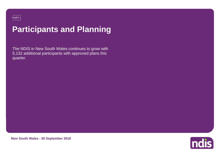## **Participants and Planning**

The NDIS in New South Wales continues to grow with 5,132 additional participants with approved plans this quarter.



**New South Wales - 30 September 2018**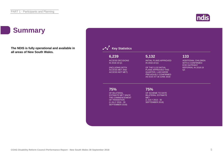

### **Summary**

**The NDIS is fully operational and available in all areas of New South Wales.**

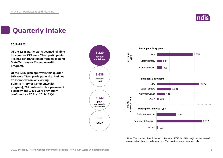

## **Quarterly Intake**

#### **2018-19 Q1**

**Of the 3,638 participants deemed 'eligible' this quarter 79% were 'New' participants (i.e. had not transitioned from an existing State/Territory or Commonwealth program).**

**Of the 5,132 plan approvals this quarter, 66% were 'New' participants (i.e. had not transitioned from an existing State/Territory or Commonwealth program), 70% entered with a permanent disability and 1,403 were previously confirmed as ECEI at 2017-18 Q4.**



\*Note: The number of participants confirmed as ECEI in 2018-19 Q1 has decreased as a result of changes in data capture. This is a temporary decrease only.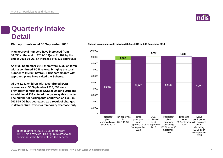

### **Quarterly Intake Detail**

**Plan approval numbers have increased from 86,035 at the end of 2017-18 Q4 to 91,167 by the end of 2018-19 Q1, an increase of 5,132 approvals.**

**As at 30 September 2018 there were 1,032 children with a confirmed ECEI referral bringing the total number to 92,199. Overall, 1,842 participants with approved plans have exited the Scheme.**

**Of the 1,032 children with a confirmed ECEI referral as at 30 September 2018, 899 were previously confirmed as ECEI at 30 June 2018 and an additional 133 entered the gateway this quarter. The number of participants confirmed as ECEI in 2018-19 Q1 has decreased as a result of changes in data capture. This is a temporary decrease only.**





In the quarter of 2018-19 Q1 there were 19,161 plan reviews. This figure relates to all participants who have entered the scheme.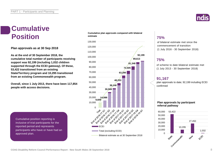

### **Cumulative Position**

**Plan approvals as at 30 Sep 2018**

**As at the end of 30 September 2018, the cumulative total number of participants receiving support was 92,199 (including 1,032 children supported through the ECEI gateway). Of these, 53,422 transitioned from an existing State/Territory program and 10,295 transitioned from an existing Commonwealth program.**

**Overall, since 1 July 2013, there have been 117,854 people with access decisions.**

Cumulative position reporting is inclusive of trial participants for the reported period and represents participants who have or have had an approved plan.

#### **Cumulative plan approvals compared with bilateral estimate**



#### **75%**

of bilateral estimate met since the commencement of transition (1 July 2016 - 30 September 2018)

#### **75%**

of scheme to date bilateral estimate met (1 July 2013 - 30 September 2018)

#### **91,167**

plan approvals to date; 92,199 including ECEI confirmed

#### **Plan approvals by participant referral pathway**

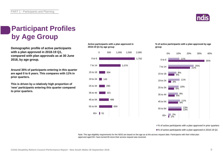

### **Participant Profiles by Age Group**

**Demographic profile of active participants with a plan approved in 2018-19 Q1, compared with plan approvals as at 30 June 2018, by age group.**

**Around 35% of participants entering in this quarter are aged 0 to 6 years. This compares with 11% in prior quarters.**

**This is driven by a relatively high proportion of 'new' participants entering this quarter compared to prior quarters.**

#### **Active participants with a plan approved in 2018-19 Q1 by age group**



#### **% of active participants with a plan approved by age group**



■% of active participants with a plan approved in prior quarters

■% of active participants with a plan approved in 2018-19 Q1

Note: The age eligibility requirements for the NDIS are based on the age as at the access request date. Participants with their initial plan approved aged 65+ have turned 65 since their access request was received.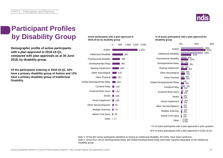

### **Participant Profiles by Disability Group**

**Demographic profile of active participants with a plan approved in 2018-19 Q1, compared with plan approvals as at 30 June 2018, by disability group.**

**Of the participants entering in 2018-19 Q1, 32% have a primary disability group of Autism and 13% have a primary disability group of Intellectual Disability.**

#### **Active participants with a plan approved in 2018-19 Q1 by disability group**



**% of active participants with a plan approved by disability group**



■% of active participants with a plan approved in prior quarters

■% of active participants with a plan approved in 2018-19 Q1

Note 1: Of the 687 active participants identified as having an intellectual disability, 69 (10%), have down syndrome. Note 2: Since 2017-18 Q1 Developmental Delay and Global Developmental Delay have been reported separately to the Intellectual Disability group.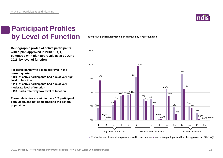

#### **Participant Profiles by Level of Function**

**Demographic profile of active participants with a plan approved in 2018-19 Q1, compared with plan approvals as at 30 June 2018, by level of function.**

**For participants with a plan approval in the current quarter:** 

**• 40% of active participants had a relatively high level of function**

**• 41% of active participants had a relatively moderate level of function** 

**• 19% had a relatively low level of function**

**These relativities are within the NDIS participant population, and not comparable to the general population.**

**% of active participants with a plan approved by level of function**



■% of active participants with a plan approved in prior quarters ■% of active participants with a plan approved in 2018-19 Q1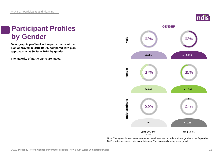### **Participant Profiles by Gender**

**Demographic profile of active participants with a plan approved in 2018-19 Q1, compared with plan approvals as at 30 June 2018, by gender.**

**The majority of participants are males.**



Note: The higher than expected number of participants with an indeterminate gender in the September 2018 quarter was due to data integrity issues. This is currently being investigated.

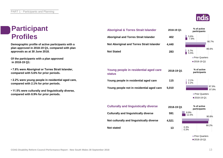### **Participant Profiles**

**Demographic profile of active participants with a plan approved in 2018-19 Q1, compared with plan approvals as at 30 June 2018.**

**Of the participants with a plan approved in 2018-19 Q1:**

**• 7.8% were Aboriginal or Torres Strait Islander, compared with 5.6% for prior periods.**

**• 2.2% were young people in residential aged care, compared with 2.1% for prior periods.**

**• 11.5% were culturally and linguistically diverse, compared with 8.9% for prior periods.**

**Not stated**

| <b>Aboriginal &amp; Torres Strait Islander</b>         | 2018-19 Q1 | % of active<br>participants          |                |  |
|--------------------------------------------------------|------------|--------------------------------------|----------------|--|
| <b>Aboriginal and Torres Strait Islander</b>           | 402        | 5.6%<br>7.8%                         | 90.7%          |  |
| Not Aboriginal and Torres Strait Islander              | 4,440      |                                      |                |  |
| <b>Not Stated</b>                                      | 283        | 3.7%<br>5.5%                         | 86.6%          |  |
|                                                        |            | <b>Prior Quarters</b>                |                |  |
|                                                        |            | ■2018-19 Q1                          |                |  |
| Young people in residential aged care<br><b>status</b> | 2018-19 Q1 | % of active<br>participants          |                |  |
| Young people in residential aged care                  | 115        | 2.1%<br>2.2%                         |                |  |
| Young people not in residential aged care              | 5,010      |                                      | 97.9%<br>97.8% |  |
|                                                        |            | <b>Prior Quarters</b><br>■2018-19 Q1 |                |  |
| <b>Culturally and linguistically diverse</b>           | 2018-19 Q1 |                                      | % of active    |  |



**Prior Quarters** 2018-19 Q1

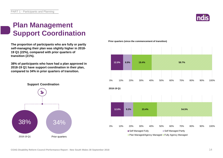

### **Plan Management Support Coordination**

**The proportion of participants who are fully or partly self-managing their plan was slightly higher in 2018- 19 Q1 (22%), compared with prior quarters of transition (21%).** 

**38% of participants who have had a plan approved in 2018-19 Q1 have support coordination in their plan, compared to 34% in prior quarters of transition.**



**Prior quarters (since the commencement of transition)**

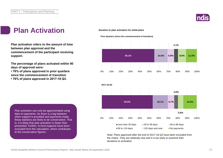

### **Plan Activation**

**Plan activation refers to the amount of time between plan approval and the commencement of the participant receiving support.**

**The percentage of plans activated within 90 days of approval were:** 

**• 76% of plans approved in prior quarters since the commencement of transition • 76% of plans approved in 2017-18 Q3.**

Plan activation can only be approximated using data on payments. As there is a lag between when support is provided and payments made, these statistics are likely to be conservative. That is, it is likely that plan activation is faster than presented. Further, in-kind supports have been excluded from the calculation, which contributes to the conservative figures.

#### **Duration to plan activation for initial plans**

**Prior Quarters (since the commencement of transition)**





Note: Plans approved after the end of 2017-18 Q3 have been excluded from the charts. They are relatively new and it is too early to examine their durations to activation.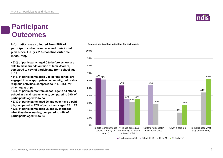#### **Participant Outcomes**

**Information was collected from 98% of participants who have received their initial plan since 1 July 2016 (baseline outcome measures).**

**• 63% of participants aged 0 to before school are able to make friends outside of family/carers, compared to 62% of participants from school age to 14**

**• 54% of participants aged 0 to before school are engaged in age appropriate community, cultural or religious activities, compared to 31% - 35% for other age groups**

**• 54% of participants from school age to 14 attend school in a mainstream class, compared to 29% of participants aged 15 to 24**

**• 27% of participants aged 25 and over have a paid job, compared to 17% of participants aged 15 to 24 • 62% of participants aged 25 and over choose what they do every day, compared to 44% of participants aged 15 to 24**



**Selected key baseline indicators for participants**

 $\Box$  0 to before school  $\Box$  School to 14  $\Box$  15 to 24  $\Box$  25 and over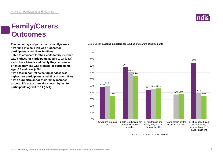### **Family/Carers Outcomes**

**• working in a paid job was highest for participants aged 15 to 24 (51%)**

**• able to advocate for their child/family member** 

**was highest for participants aged 0 to 14 (78%) • who have friends and family they can see as often as they like was highest for participants aged 25 and over (46%)**

**• who feel in control selecting services was highest for participants aged 25 and over (38%) • who support/plan for their family member through life stage transitions was highest for participants aged 0 to 14 (85%)**



**The percentage of participants' family/carers: Selected key baseline indicators for families and carers of participants**



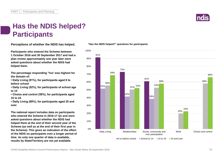

### **Has the NDIS helped? Participants**

**Perceptions of whether the NDIS has helped.**

**Participants who entered the Scheme between 1 October 2016 and 30 September 2017 and had a plan review approximately one year later were asked questions about whether the NDIS had helped them.**

**The percentage responding 'Yes' was highest for the domain of:**

**• Daily Living (91%), for participants aged 0 to before school**

**• Daily Living (52%), for participants of school age to 14**

**• Choice and control (58%), for participants aged 15 to 24**

**• Daily Living (69%), for participants aged 25 and over**

**The national report includes data on participants who entered the Scheme in 2016-17 Q1 and were asked questions about whether the NDIS had helped them at the end of their second year of the Scheme (as well as at the end of their first year in the Scheme). This gives an indication of the effect of the NDIS on participants over a longer period of time. As only one quarter of data is available, results by State/Territory are not yet available.**

#### **"Has the NDIS helped?" questions for participants**

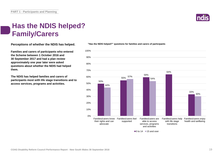### **Has the NDIS helped? Family/Carers**

**Perceptions of whether the NDIS has helped.**

**Families and carers of participants who entered the Scheme between 1 October 2016 and 30 September 2017 and had a plan review approximately one year later were asked questions about whether the NDIS had helped them.**

**The NDIS has helped families and carers of participants most with life stage transitions and to access services, programs and activities.**



**"Has the NDIS helped?" questions for families and carers of participants**

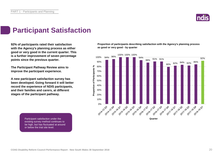

### **Participant Satisfaction**

**92% of participants rated their satisfaction with the Agency's planning process as either good or very good in the current quarter. This is a further improvement of seven percentage points since the previous quarter.** 

**The Participant Pathway Review aims to improve the participant experience.**

**A new participant satisfaction survey has been developed. Going forward it will better record the experience of NDIS participants, and their families and carers, at different stages of the participant pathway.**

> Participant satisfaction under the existing survey method continues to be high, but has fluctuated at around or below the trial site level.

**Proportion of participants describing satisfaction with the Agency's planning process as good or very good - by quarter**

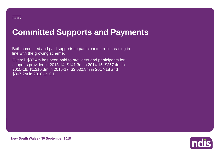## **Committed Supports and Payments**

Both committed and paid supports to participants are increasing in line with the growing scheme.

Overall, \$37.4m has been paid to providers and participants for supports provided in 2013-14, \$141.3m in 2014-15, \$257.4m in 2015-16, \$1,210.3m in 2016-17, \$3,032.8m in 2017-18 and \$807.2m in 2018-19 Q1.



**New South Wales - 30 September 2018**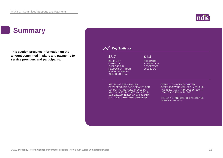### ndis

## **Summary**

**This section presents information on the amount committed in plans and payments to service providers and participants.**

| \$6.7                                                                                                                                                                                                                   | \$1.4                                                                      |                                                                                                                                                                                                                    |
|-------------------------------------------------------------------------------------------------------------------------------------------------------------------------------------------------------------------------|----------------------------------------------------------------------------|--------------------------------------------------------------------------------------------------------------------------------------------------------------------------------------------------------------------|
| <b>BILLION OF</b><br><b>COMMITTED</b><br><b>SUPPORTS IN</b><br><b>RESPECT OF PRIOR</b><br><b>FINANCIAL YEARS</b><br><b>INCLUDING TRIAL</b>                                                                              | <b>BILLION OF</b><br><b>SUPPORTS IN</b><br><b>RESPECT OF</b><br>2018-19 Q1 |                                                                                                                                                                                                                    |
| \$37.4M HAS BEEN PAID TO<br>PROVIDERS AND PARTICIPANTS FOR<br>SUPPORTS PROVIDED IN 2013-14,<br>\$141.3M IN 2014-15, \$257.4M IN 2015-<br>16, \$1,210.3M IN 2016-17, \$3,032.8M IN<br>2017-18 AND \$807.2M IN 2018-19 Q1 |                                                                            | <b>OVERALL, 74% OF COMMITTED</b><br>SUPPORTS WERE UTILISED IN 2013-14,<br>77% IN 2014-15, 74% IN 2015-16, 68% IN<br>2016-17 AND 70% IN 2017-18.<br>THE 2017-18 AND 2018-19 EXPERIENCE<br><b>IS STILL EMERGING.</b> |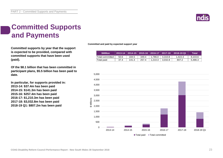

### **Committed Supports and Payments**

**Committed supports by year that the support is expected to be provided, compared with committed supports that have been used (paid).**

**Of the \$8.1 billion that has been committed in participant plans, \$5.5 billion has been paid to date.**

**In particular, for supports provided in: 2013-14: \$37.4m has been paid 2014-15: \$141.3m has been paid 2015-16: \$257.4m has been paid 2016-17: \$1,210.3m has been paid 2017-18: \$3,032.8m has been paid 2018-19 Q1: \$807.2m has been paid**

**Committed and paid by expected support year**

| <b><i>SMillion</i></b> |      |       |       |         |         | $2013-14$ $\mid$ 2014-15 $\mid$ 2015-16 $\mid$ 2016-17 $\mid$ 2017-18 $\mid$ 2018-19 Q1 | Total   |
|------------------------|------|-------|-------|---------|---------|-----------------------------------------------------------------------------------------|---------|
| Total committed        | 50.6 | 184.5 | 349.4 | 1.786.0 | 4.310.8 | 1.422.3                                                                                 | 8.103.6 |
| 'Total paid            | 37.4 | 141.3 | 257.4 | 1.210.3 | 3.032.8 | 807.2                                                                                   | 5,486.3 |

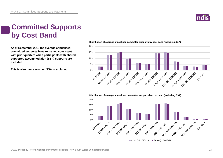

### **Committed Supports by Cost Band**

**As at September 2018 the average annualised committed supports have remained consistent with prior quarters when participants with shared supported accommodation (SSA) supports are included.**

**This is also the case when SSA is excluded.**



#### **Distribution of average annualised committed supports by cost band (excluding SSA)**

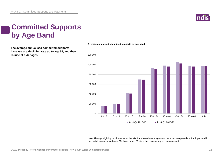

### **Committed Supports by Age Band**

**The average annualised committed supports increase at a declining rate up to age 55, and then reduce at older ages.**



Note: The age eligibility requirements for the NDIS are based on the age as at the access request date. Participants with their initial plan approved aged 65+ have turned 65 since their access request was received.

**Average annualised committed supports by age band**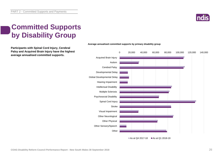

### **Committed Supports by Disability Group**

**Participants with Spinal Cord Injury, Cerebral Palsy and Acquired Brain Injury have the highest average annualised committed supports.**



#### **Average annualised committed supports by primary disability group**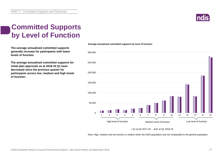PART 2 - Committed Supports and Payments

#### **Committed Supports by Level of Function**

**The average annualised committed supports generally increase for participants with lower levels of function.**

**The average annualised committed supports for initial plan approvals as at 2018-19 Q1 have decreased since the previous quarter for participants across low, medium and high levels of function.**



#### As at Q4 2017-18  $\blacksquare$  As at Q1 2018-19

Note: High, medium and low function is relative within the NDIS population and not comparable to the general population.

#### **Average annualised committed supports by level of function**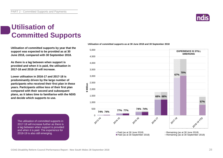PART 2 - Committed Supports and Payments

#### **Utilisation of Committed Supports**

**Utilisation of committed supports by year that the support was expected to be provided as at 30 June 2018, compared with 30 September 2018.** 

**As there is a lag between when support is provided and when it is paid, the utilisation in 2017-18 and 2018-19 will increase.**

**Lower utilisation in 2016-17 and 2017-18 is predominantly driven by the large number of participants who received their first plan in these years. Participants utilise less of their first plan compared with their second and subsequent plans, as it takes time to familiarise with the NDIS and decide which supports to use.**

The utilisation of committed supports in 2017-18 will increase further as there is a lag between when support is provided and when it is paid. The experience for 2018-19 is also still emerging.

**Utilisation of committed supports as at 30 June 2018 and 30 September 2018**



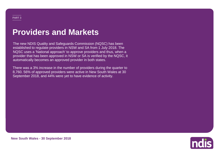## **Providers and Markets**

The new NDIS Quality and Safeguards Commission (NQSC) has been established to regulate providers in NSW and SA from 1 July 2018. The NQSC uses a 'National approach' to approve providers and thus, when a provider that has been approved in NSW or SA is verified by the NQSC, it automatically becomes an approved provider in both states.

There was a 3% increase in the number of providers during the quarter to 8,760. 56% of approved providers were active in New South Wales at 30 September 2018, and 44% were yet to have evidence of activity.



**New South Wales - 30 September 2018**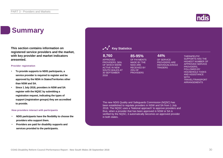### **Summary**

**This section contains information on registered service providers and the market, with key provider and market indicators presented.**

#### **Provider registration**

- **To provide supports to NDIS participants, a service provider is required to register and be approved by the NDIA in States/Territories other than NSW and SA.**
- **Since 1 July 2018, providers in NSW and SA register with the NQSC by submitting a registration request, indicating the types of support (registration groups) they are accredited to provide.**

#### **How providers interact with participants**

- **NDIS participants have the flexibility to choose the providers who support them.**
- **Providers are paid for disability supports and services provided to the participants.**

APPROVED

#### **8,760 85-95% 44%**

OF SERVICE PROVIDERS ARE INDIVIDUALS/SOLE **TRADERS** 

THERAPEUTIC SUPPORTS HAS THE HIGHEST NUMBER OF APPROVED SERVICE PROVIDERS, FOLLOWED BY HOUSEHOLD TASKS AND ASSISTANCE **WITH** TRAVEL/TRANSPORT ARRANGEMENTS

The new NDIS Quality and Safeguards Commission (NQSC) has been established to regulate providers in NSW and SA from 1 July 2018. The NQSC uses a 'National approach' to approve providers and thus, when a provider that has been approved in NSW or SA is verified by the NQSC, it automatically becomes an approved provider in both states.

OF PAYMENTS MADE BY THE NDIA ARE RECEIVED BY 25% OF **PROVIDERS** 

#### **Key Statistics**

PROVIDERS, 56% OF WHICH WERE ACTIVE IN NEW SOUTH WALES AT 30 SEPTEMBER 2018

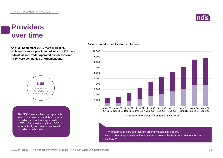### **Providers over time**

**As at 30 September 2018, there were 8,760 registered service providers, of which 3,874 were individual/sole trader operated businesses and 4,886 were companies or organisations.**



The NQSC uses a 'National approach' to approve providers and thus, when a provider that has been approved in NSW or SA is verified by the NQSC, it automatically becomes an approved provider in both states.

#### **Approved providers over time by type of provider**



The number of approved service providers increased by 3% from 8,485 to 8,760 in the quarter. 44% of approved service providers are individuals/sole traders.

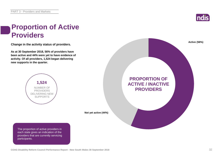

### **Proportion of Active Providers**

**Change in the activity status of providers.**

**As at 30 September 2018, 56% of providers have been active and 44% were yet to have evidence of activity. Of all providers, 1,524 began delivering new supports in the quarter.**



**Not yet active (44%)**

The proportion of active providers in each state gives an indication of the providers that are currently servicing participants.

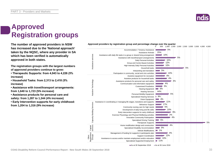### **Approved Registration groups**

**The number of approved providers in NSW Approved providers by registration group and percentage change over the quarter**<br>1,000 1,500 1,000 1,500 1,000 1,500 1,000 1,500 1,000 1,500 1,000 1,500 1,000 1,500 1,000 1,500 1, **has increased due to the 'National approach' taken by the NQSC, where any provider in SA which has been verified is automatically approved in both states.**

**The registration groups with the largest numbers of approved providers continue to grow:**

- **Therapeutic Supports: from 4,043 to 4,226 (5% increase)**
- **Household Tasks: from 2,313 to 2,418 (5% increase)**
- **Assistance with travel/transport arrangements: from 1,640 to 1,723 (5% increase)**
- **Assistance products for personal care and safety: from 1,287 to 1,344 (4% increase)**
- **Early Intervention supports for early childhood: from 1,204 to 1,316 (9% increase)**



As at 30 September 2018 As at 30 June 2018





#### **COAG Disability Reform Council Performance Report - New South Wales 30 September 2018** 33



0 500 1,000 1,500 2,000 2,500 3,000 3,500 4,000 4,500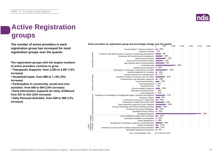## **Active Registration groups**

**The number of active providers in each registration group has increased for most registration groups over the quarter.**

**The registration groups with the largest numbers of active providers continue to grow:**

**• Therapeutic Supports: from 2,293 to 2,597 (13% increase)**

**• Household tasks: from 990 to 1,145 (16% increase)**

**• Participation in community, social and civic activities: from 608 to 694 (14% increase)**

**• Early Intervention supports for early childhood: from 537 to 616 (15% increase)**

**• Daily Personal Activities: from 529 to 596 (13% increase)**



#### Active providers by registration group and percentage change over the quarter<br><sup>000</sup> <sup>500</sup>

As at 30 September 2018 As at 30 June 2018

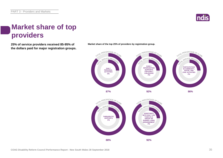

### **Market share of top providers**

**25% of service providers received 85-95% of Market share of the top 25% of providers by registration group. the dollars paid for major registration groups.**



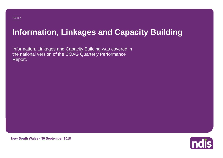## **Information, Linkages and Capacity Building**

Information, Linkages and Capacity Building was covered in the national version of the COAG Quarterly Performance Report.



**New South Wales - 30 September 2018**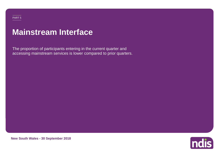# **Mainstream Interface**

The proportion of participants entering in the current quarter and accessing mainstream services is lower compared to prior quarters.



**New South Wales - 30 September 2018**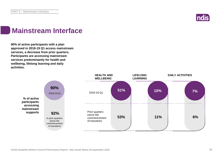

### **Mainstream Interface**

**90% of active participants with a plan approved in 2018-19 Q1 access mainstream services, a decrease from prior quarters. Participants are accessing mainstream services predominantly for health and wellbeing, lifelong learning and daily activities.**